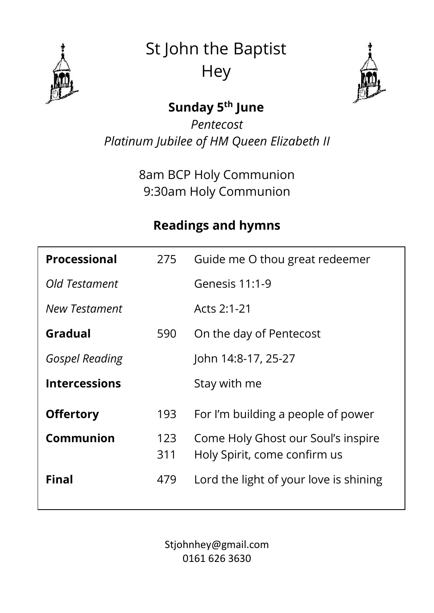

St John the Baptist **Hey** 



### **Sunday 5 th June**

*Pentecost Platinum Jubilee of HM Queen Elizabeth II*

> 8am BCP Holy Communion 9:30am Holy Communion

### **Readings and hymns**

| <b>Processional</b>   | 275        | Guide me O thou great redeemer                                     |
|-----------------------|------------|--------------------------------------------------------------------|
| Old Testament         |            | Genesis 11:1-9                                                     |
| New Testament         |            | Acts 2:1-21                                                        |
| Gradual               | 590        | On the day of Pentecost                                            |
| <b>Gospel Reading</b> |            | John 14:8-17, 25-27                                                |
| <b>Intercessions</b>  |            | Stay with me                                                       |
| <b>Offertory</b>      | 193        | For I'm building a people of power                                 |
| Communion             | 123<br>311 | Come Holy Ghost our Soul's inspire<br>Holy Spirit, come confirm us |
| <b>Final</b>          | 479        | Lord the light of your love is shining                             |

Stjohnhey@gmail.com 0161 626 3630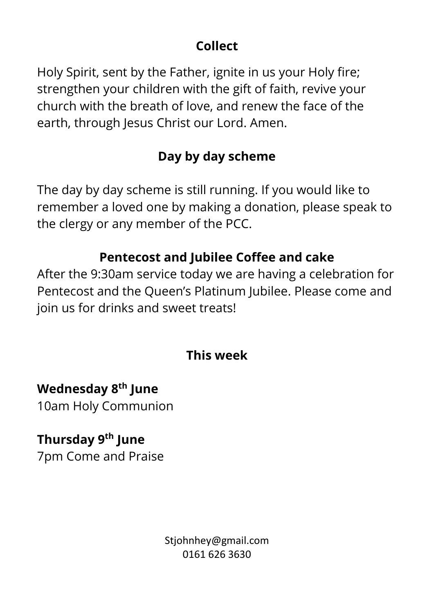#### **Collect**

Holy Spirit, sent by the Father, ignite in us your Holy fire; strengthen your children with the gift of faith, revive your church with the breath of love, and renew the face of the earth, through Jesus Christ our Lord. Amen.

### **Day by day scheme**

The day by day scheme is still running. If you would like to remember a loved one by making a donation, please speak to the clergy or any member of the PCC.

#### **Pentecost and Jubilee Coffee and cake**

After the 9:30am service today we are having a celebration for Pentecost and the Queen's Platinum Jubilee. Please come and join us for drinks and sweet treats!

#### **This week**

### **Wednesday 8 th June**

10am Holy Communion

# **Thursday 9 th June**

7pm Come and Praise

Stjohnhey@gmail.com 0161 626 3630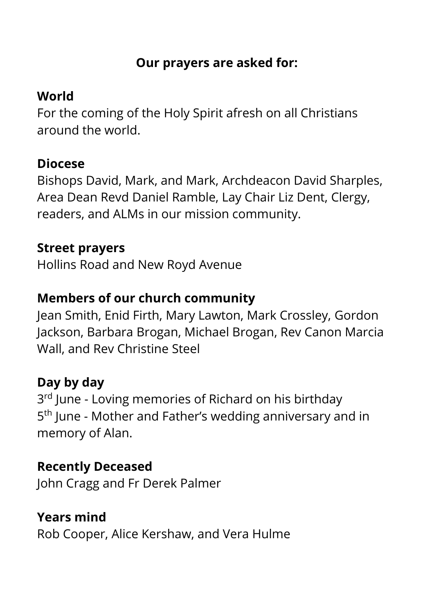#### **Our prayers are asked for:**

### **World**

For the coming of the Holy Spirit afresh on all Christians around the world.

#### **Diocese**

Bishops David, Mark, and Mark, Archdeacon David Sharples, Area Dean Revd Daniel Ramble, Lay Chair Liz Dent, Clergy, readers, and ALMs in our mission community.

#### **Street prayers**

Hollins Road and New Royd Avenue

### **Members of our church community**

Jean Smith, Enid Firth, Mary Lawton, Mark Crossley, Gordon Jackson, Barbara Brogan, Michael Brogan, Rev Canon Marcia Wall, and Rev Christine Steel

# **Day by day**

3<sup>rd</sup> June - Loving memories of Richard on his birthday 5<sup>th</sup> June - Mother and Father's wedding anniversary and in memory of Alan.

### **Recently Deceased**

John Cragg and Fr Derek Palmer

# **Years mind**

Rob Cooper, Alice Kershaw, and Vera Hulme